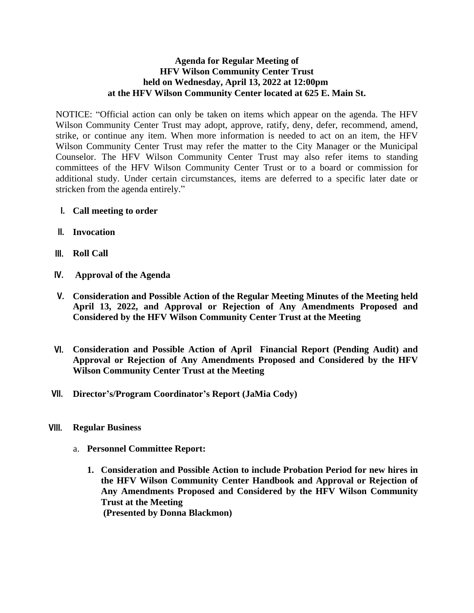## **Agenda for Regular Meeting of HFV Wilson Community Center Trust held on Wednesday, April 13, 2022 at 12:00pm at the HFV Wilson Community Center located at 625 E. Main St.**

NOTICE: "Official action can only be taken on items which appear on the agenda. The HFV Wilson Community Center Trust may adopt, approve, ratify, deny, defer, recommend, amend, strike, or continue any item. When more information is needed to act on an item, the HFV Wilson Community Center Trust may refer the matter to the City Manager or the Municipal Counselor. The HFV Wilson Community Center Trust may also refer items to standing committees of the HFV Wilson Community Center Trust or to a board or commission for additional study. Under certain circumstances, items are deferred to a specific later date or stricken from the agenda entirely."

- **I. Call meeting to order**
- **II. Invocation**
- **III. Roll Call**
- **IV. Approval of the Agenda**
- **V. Consideration and Possible Action of the Regular Meeting Minutes of the Meeting held April 13, 2022, and Approval or Rejection of Any Amendments Proposed and Considered by the HFV Wilson Community Center Trust at the Meeting**
- **VI. Consideration and Possible Action of April Financial Report (Pending Audit) and Approval or Rejection of Any Amendments Proposed and Considered by the HFV Wilson Community Center Trust at the Meeting**
- **VII. Director's/Program Coordinator's Report (JaMia Cody)**
- **VIII. Regular Business**
	- a. **Personnel Committee Report:**
		- **1. Consideration and Possible Action to include Probation Period for new hires in the HFV Wilson Community Center Handbook and Approval or Rejection of Any Amendments Proposed and Considered by the HFV Wilson Community Trust at the Meeting (Presented by Donna Blackmon)**